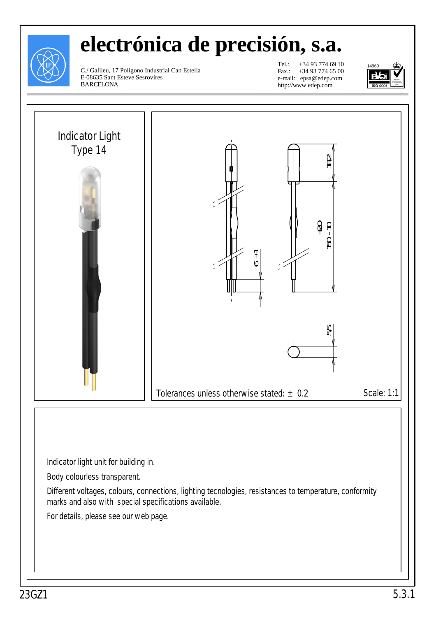

## **electrónica de precisión, s.a.**

C./ Galileu, 17 Polígono Industrial Can Estella E-08635 Sant Esteve Sesrovires BARCELONA

Tel.: +34 93 774 69 10 Fax.: +34 93 774 65 00 e-mail: epsa@edep.com http://www.edep.com



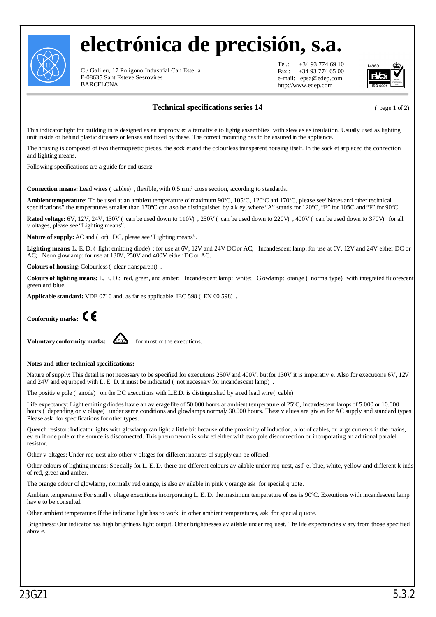

## **electrónica de precisión, s.a.**

C./ Galileu, 17 Polígono Industrial Can Estella E-08635 Sant Esteve Sesrovires BARCELONA

 $Tel: +34937746910$ Fax.: +34 93 774 65 00 e-mail: epsa@edep.com http://www.edep.com



**Technical specifications series 14** (page 1 of 2)

This indicator light for building in is designed as an improoved alternative to lightig assemblies with sleeves as insulation. Usually used as lighting unit inside or behind plastic difusers or lenses and fixed by these. The correct mounting has to be assured in the appliance.

The housing is composed of two thermoplastic pieces, the sock et and the colourless transparent housing itself. In the sock et are placed the connection and lighting means.

Following specifications are a guide for end users:

**Connection means:** Lead wires (cables), flexible, with 0.5 mm² cross section, according to standards.

**Ambient temperature:** To be used at an ambient temperature of maximum 90ºC, 105ºC, 120ºC and 170ºC, please see "Notes and other technical specifications" the temperatures smaller than 170°C can dso be distinguished by a k ey, where "A" stands for 120°C, "E" for 105°C and "F" for 90°C.

**Rated voltage:** 6V, 12V, 24V, 130V (can be used down to 110V), 250V (can be used down to 220V), 400V (can be used down to 370V) for all v oltages, please see "Lighting means".

**Nature of supply:** AC and (or) DC, please see "Lighting means".

Lighting means L. E. D. (light emitting diode): for use at 6V, 12V and 24V DC or AC; Incandescent lamp: for use at 6V, 12V and 24V either DC or AC; Neon glowlamp: for use at 130V, 250V and 400V either DCor AC.

**Colours of housing:** Colourless (clear transparent).

Colours of lighting means: L. E. D.: red, green, and amber; Incandescent lamp: white; Gbwlamp: orange (normal type) with integrated fluorescent green and blue.

**Applicable standard:** VDE 0710 and, as far es applicable, IEC 598 (EN 60 598).



**Voluntary conformity marks:**  $\overline{4585}$  for most of the executions.



## **Notes and other technical specifications:**

Nature of supply: This detail is not necessary to be specified for executions 250Vand 400V, butfor 130V it is imperative. Also for executions 6V, 12V and 24V and equipped with L. E. D. it must be indicated (not necessary for incandescent lamp).

The positive pole (anode) on the DC executions with L.E.D. is distinguished by a red lead wire (cable).

Life expectancy: Light emitting diodes have an averagelife of 50.000 hours at ambient temperature of 25°C, incandescent lamps of 5.000 or 10.000 hours (depending on v oltage) under same conditions and glowlamps normaly 30.000 hours. These v alues are given for AC supply and standard types Please ask for specifications for other types.

Quench resistor: Indicator lights with glowlamp can light a little bit because of the proximity of induction, a lot of cables, or large currents in the mains, even if one pole of the source is disconnected. This phenomenon is solved either with two pole disconnection or incorporating an aditional paralel resistor.

Other v oltages: Under request also other v oltages for different natures of supply can be offered.

Other colours of lighting means: Specially for L. E. D. there are different colours available under request, asf. e. blue, white, yellow and different kinds of red, green and amber.

The orange cdour of glowlamp, normally red orange, is also available in pink yorange ask for special quote.

Ambient temperature: For small v oltage executions incorporating L. E. D. the maximum temperature of use is 90°C. Executions with incandescent lamp have to be consulted.

Other ambient temperature:If the indicator light has to work in other ambient temperatures, ask for special quote.

Brightness: Our indicator has high brightness light output. Other brightnesses available under request. The life expectancies vary from those specified above.